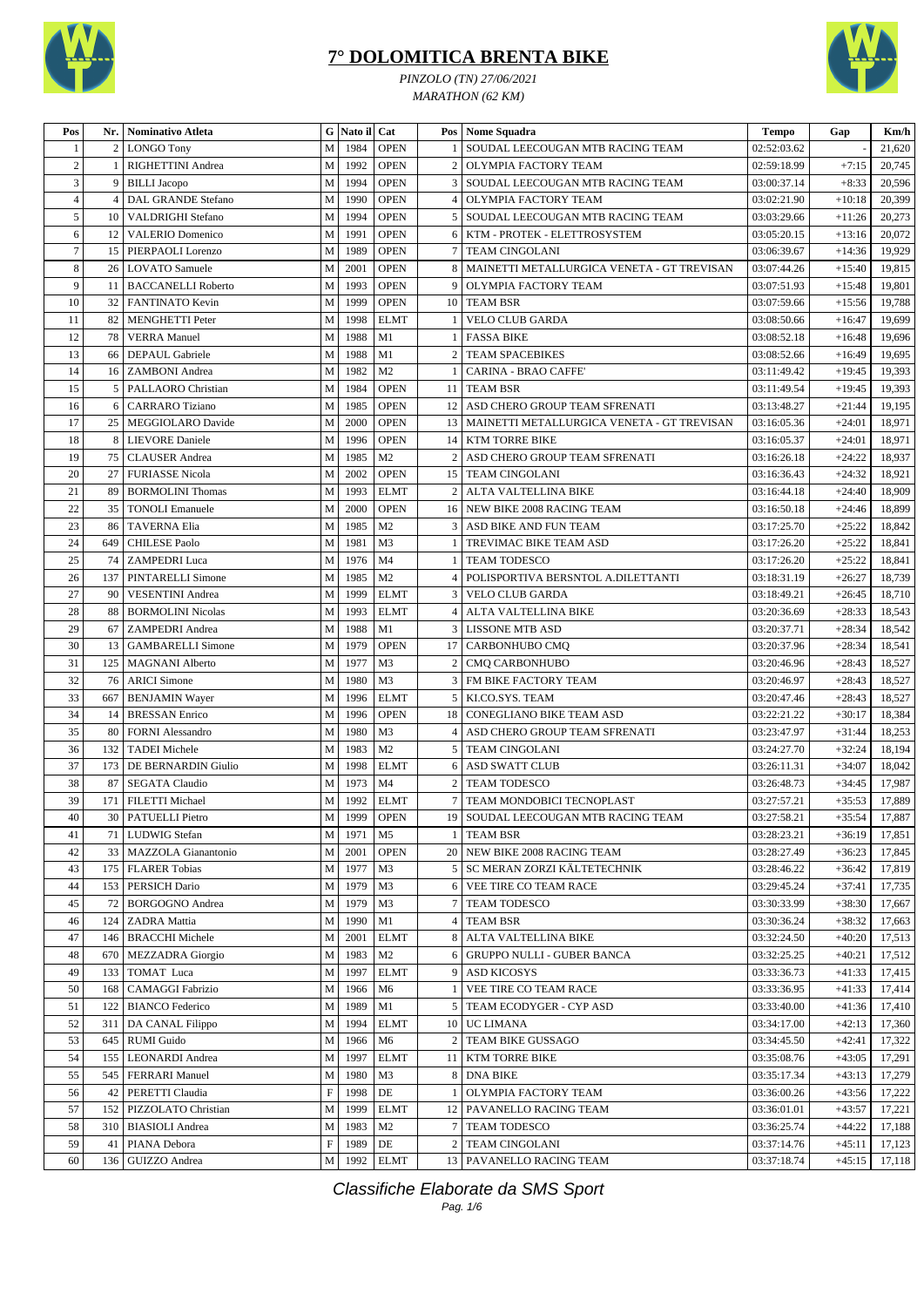



*PINZOLO (TN) 27/06/2021 MARATHON (62 KM)*

| Pos            | Nr.            | Nominativo Atleta         | ${\bf G}$                 | Nato il Cat |                |                 | Pos Nome Squadra                                | <b>Tempo</b>             | Gap      | Km/h            |
|----------------|----------------|---------------------------|---------------------------|-------------|----------------|-----------------|-------------------------------------------------|--------------------------|----------|-----------------|
|                | $\overline{c}$ | <b>LONGO Tony</b>         | M                         | 1984        | <b>OPEN</b>    |                 | SOUDAL LEECOUGAN MTB RACING TEAM                | 02:52:03.62              |          | 21,620          |
| $\overline{2}$ | 1              | RIGHETTINI Andrea         | M                         | 1992        | <b>OPEN</b>    | $\overline{2}$  | OLYMPIA FACTORY TEAM                            | 02:59:18.99              | $+7:15$  | 20,745          |
| 3              | 9              | <b>BILLI</b> Jacopo       | M                         | 1994        | <b>OPEN</b>    | 3               | SOUDAL LEECOUGAN MTB RACING TEAM                | 03:00:37.14              | $+8:33$  | 20,596          |
| $\overline{4}$ | $\overline{4}$ | DAL GRANDE Stefano        | M                         | 1990        | <b>OPEN</b>    | $\overline{4}$  | OLYMPIA FACTORY TEAM                            | 03:02:21.90              | $+10:18$ | 20,399          |
| 5              | 10             | VALDRIGHI Stefano         | M                         | 1994        | <b>OPEN</b>    | 5               | SOUDAL LEECOUGAN MTB RACING TEAM                | 03:03:29.66              | $+11:26$ | 20,273          |
| 6              | 12             | <b>VALERIO Domenico</b>   | M                         | 1991        | <b>OPEN</b>    | 6               | KTM - PROTEK - ELETTROSYSTEM                    | 03:05:20.15              | $+13:16$ | 20,072          |
| $\overline{7}$ | 15             | PIERPAOLI Lorenzo         | M                         | 1989        | <b>OPEN</b>    | 7 <sup>1</sup>  | <b>TEAM CINGOLANI</b>                           | 03:06:39.67              | $+14:36$ | 19,929          |
| 8              | 26             | <b>LOVATO</b> Samuele     | M                         | 2001        | <b>OPEN</b>    |                 | 8   MAINETTI METALLURGICA VENETA - GT TREVISAN  | 03:07:44.26              | $+15:40$ | 19,815          |
| 9              | 11             | <b>BACCANELLI Roberto</b> | M                         | 1993        | <b>OPEN</b>    | 9               | <b>OLYMPIA FACTORY TEAM</b>                     | 03:07:51.93              | $+15:48$ | 19,801          |
| 10             | 32             | FANTINATO Kevin           | M                         | 1999        | <b>OPEN</b>    | 10 <sup>1</sup> | <b>TEAM BSR</b>                                 | 03:07:59.66              | $+15:56$ | 19,788          |
| 11             | 82             | MENGHETTI Peter           | M                         | 1998        | <b>ELMT</b>    | 1               | VELO CLUB GARDA                                 | 03:08:50.66              | $+16:47$ | 19,699          |
| 12             | 78             | <b>VERRA</b> Manuel       | M                         | 1988        | M1             |                 | <b>FASSA BIKE</b>                               | 03:08:52.18              | $+16:48$ | 19,696          |
| 13             | 66             | DEPAUL Gabriele           | M                         | 1988        | M1             | $\overline{2}$  | <b>TEAM SPACEBIKES</b>                          | 03:08:52.66              | $+16:49$ | 19,695          |
| 14             | 16             | <b>ZAMBONI</b> Andrea     | M                         | 1982        | M <sub>2</sub> | -1              | CARINA - BRAO CAFFE'                            | 03:11:49.42              | $+19:45$ | 19,393          |
| 15             | 5              | PALLAORO Christian        | M                         | 1984        | <b>OPEN</b>    |                 | 11 TEAM BSR                                     | 03:11:49.54              | $+19:45$ | 19,393          |
| 16             | 6              | <b>CARRARO</b> Tiziano    | M                         | 1985        | <b>OPEN</b>    | 12 <sup>1</sup> | ASD CHERO GROUP TEAM SFRENATI                   | 03:13:48.27              | $+21:44$ | 19,195          |
| 17             | 25             | MEGGIOLARO Davide         | M                         | 2000        | <b>OPEN</b>    |                 | 13   MAINETTI METALLURGICA VENETA - GT TREVISAN | 03:16:05.36              | $+24:01$ | 18,971          |
| 18             | 8              | <b>LIEVORE</b> Daniele    | M                         | 1996        | <b>OPEN</b>    | 14 <sup>1</sup> | <b>KTM TORRE BIKE</b>                           | 03:16:05.37              | $+24:01$ | 18,971          |
| 19             | 75             | <b>CLAUSER</b> Andrea     | M                         | 1985        | M <sub>2</sub> | 2               | ASD CHERO GROUP TEAM SFRENATI                   | 03:16:26.18              | $+24:22$ | 18,937          |
| 20             | 27             | <b>FURIASSE Nicola</b>    | M                         | 2002        | <b>OPEN</b>    |                 | 15 TEAM CINGOLANI                               | 03:16:36.43              | $+24:32$ | 18,921          |
| 21             | 89             | <b>BORMOLINI</b> Thomas   | M                         | 1993        | <b>ELMT</b>    |                 | 2   ALTA VALTELLINA BIKE                        | 03:16:44.18              | $+24:40$ | 18,909          |
| 22             | 35             | <b>TONOLI Emanuele</b>    | M                         | 2000        | <b>OPEN</b>    |                 | 16 NEW BIKE 2008 RACING TEAM                    | 03:16:50.18              | $+24:46$ | 18,899          |
| 23             | 86             | <b>TAVERNA Elia</b>       | M                         | 1985        | M <sub>2</sub> | $\overline{3}$  | ASD BIKE AND FUN TEAM                           | 03:17:25.70              | $+25:22$ | 18,842          |
| 24             |                |                           | M                         |             |                |                 |                                                 |                          |          |                 |
| 25             | 649            | <b>CHILESE Paolo</b>      |                           | 1981        | M <sub>3</sub> |                 | TREVIMAC BIKE TEAM ASD                          | 03:17:26.20              | $+25:22$ | 18,841          |
|                | 74             | <b>ZAMPEDRI Luca</b>      | M                         | 1976        | M <sub>4</sub> |                 | TEAM TODESCO                                    | 03:17:26.20              | $+25:22$ | 18,841          |
| 26             | 137            | PINTARELLI Simone         | M                         | 1985        | M <sub>2</sub> | 4 <sup>1</sup>  | POLISPORTIVA BERSNTOL A.DILETTANTI              | 03:18:31.19              | $+26:27$ | 18,739          |
| 27             | 90             | <b>VESENTINI</b> Andrea   | M                         | 1999        | <b>ELMT</b>    |                 | 3 VELO CLUB GARDA                               | 03:18:49.21              | $+26:45$ | 18,710          |
| 28             | 88             | <b>BORMOLINI Nicolas</b>  | M                         | 1993        | <b>ELMT</b>    |                 | 4   ALTA VALTELLINA BIKE                        | 03:20:36.69              | $+28:33$ | 18,543          |
| 29             | 67             | <b>ZAMPEDRI</b> Andrea    | M                         | 1988        | M1             |                 | <b>3 LISSONE MTB ASD</b>                        | 03:20:37.71              | $+28:34$ | 18,542          |
| 30             | 13             | <b>GAMBARELLI Simone</b>  | M                         | 1979        | <b>OPEN</b>    | 17 <sup>1</sup> | CARBONHUBO CMQ                                  | 03:20:37.96              | $+28:34$ | 18,541          |
| 31             | 125            | <b>MAGNANI</b> Alberto    | M                         | 1977        | M3             | $\overline{2}$  | <b>CMQ CARBONHUBO</b>                           | 03:20:46.96              | $+28:43$ | 18,527          |
| 32             | 76             | <b>ARICI Simone</b>       | M                         | 1980        | M3             | $\overline{3}$  | FM BIKE FACTORY TEAM                            | 03:20:46.97              | $+28:43$ | 18,527          |
| 33             | 667            | <b>BENJAMIN Wayer</b>     | M                         | 1996        | <b>ELMT</b>    |                 | 5   KI.CO.SYS. TEAM                             | 03:20:47.46              | $+28:43$ | 18,527          |
| 34             | 14             | <b>BRESSAN Enrico</b>     | M                         | 1996        | <b>OPEN</b>    | 18              | CONEGLIANO BIKE TEAM ASD                        | 03:22:21.22              | $+30:17$ | 18,384          |
| 35             | 80             | <b>FORNI Alessandro</b>   | M                         | 1980        | M3             | 4 <sup>1</sup>  | ASD CHERO GROUP TEAM SFRENATI                   | 03:23:47.97              | $+31:44$ | 18,253          |
| 36             | 132            | <b>TADEI</b> Michele      | M                         | 1983        | M <sub>2</sub> | 5 <sup>1</sup>  | <b>TEAM CINGOLANI</b>                           | 03:24:27.70              | $+32:24$ | 18,194          |
| 37             | 173            | DE BERNARDIN Giulio       | M                         | 1998        | <b>ELMT</b>    | 6               | <b>ASD SWATT CLUB</b>                           | 03:26:11.31              | $+34:07$ | 18,042          |
| 38             | 87             | <b>SEGATA Claudio</b>     | M                         | 1973        | M <sub>4</sub> | 2 <sub>1</sub>  | <b>TEAM TODESCO</b>                             | 03:26:48.73              | $+34:45$ | 17,987          |
| 39             | 171            | <b>FILETTI Michael</b>    | M                         | 1992        | <b>ELMT</b>    |                 | 7 TEAM MONDOBICI TECNOPLAST                     | 03:27:57.21              | $+35:53$ | 17,889          |
| $40\,$         |                | 30 PATUELLI Pietro        | $\mathbf M$               |             | 1999 OPEN      |                 | 19 SOUDAL LEECOUGAN MTB RACING TEAM             | $\overline{03:}27:58.21$ |          | $+35:54$ 17,887 |
| 41             | 71             | <b>LUDWIG</b> Stefan      | M                         | 1971        | M5             |                 | <b>TEAM BSR</b>                                 | 03:28:23.21              | $+36:19$ | 17,851          |
| 42             | 33             | MAZZOLA Gianantonio       | M                         | 2001        | <b>OPEN</b>    |                 | 20 NEW BIKE 2008 RACING TEAM                    | 03:28:27.49              | $+36:23$ | 17,845          |
| 43             | 175            | <b>FLARER Tobias</b>      | M                         | 1977        | M3             |                 | 5 SC MERAN ZORZI KÄLTETECHNIK                   | 03:28:46.22              | $+36:42$ | 17,819          |
| 44             | 153            | PERSICH Dario             | $\mathbf M$               | 1979        | M <sub>3</sub> |                 | 6 VEE TIRE CO TEAM RACE                         | 03:29:45.24              | $+37:41$ | 17,735          |
| 45             | 72             | <b>BORGOGNO Andrea</b>    | M                         | 1979        | M <sub>3</sub> |                 | 7 TEAM TODESCO                                  | 03:30:33.99              | $+38:30$ | 17,667          |
| 46             | 124            | <b>ZADRA</b> Mattia       | M                         | 1990        | M1             |                 | 4 TEAM BSR                                      | 03:30:36.24              | $+38:32$ | 17,663          |
| 47             | 146            | <b>BRACCHI Michele</b>    | M                         | 2001        | <b>ELMT</b>    |                 | 8 ALTA VALTELLINA BIKE                          | 03:32:24.50              | $+40:20$ | 17,513          |
| 48             | 670            | <b>MEZZADRA</b> Giorgio   | M                         | 1983        | M <sub>2</sub> | 6               | <b>GRUPPO NULLI - GUBER BANCA</b>               | 03:32:25.25              | $+40:21$ | 17,512          |
| 49             | 133            | TOMAT Luca                | M                         | 1997        | <b>ELMT</b>    | 9               | <b>ASD KICOSYS</b>                              | 03:33:36.73              | $+41:33$ | 17,415          |
| 50             | 168            | CAMAGGI Fabrizio          | M                         | 1966        | M <sub>6</sub> | $\mathbf{1}$    | VEE TIRE CO TEAM RACE                           | 03:33:36.95              | $+41:33$ | 17,414          |
| 51             | 122            | <b>BIANCO</b> Federico    | M                         | 1989        | M1             |                 | 5 TEAM ECODYGER - CYP ASD                       | 03:33:40.00              | $+41:36$ | 17,410          |
| 52             | 311            | DA CANAL Filippo          | M                         | 1994        | <b>ELMT</b>    |                 | 10 UC LIMANA                                    | 03:34:17.00              | $+42:13$ | 17,360          |
| 53             | 645            | <b>RUMI</b> Guido         | $\mathbf M$               | 1966        | M6             |                 | 2 TEAM BIKE GUSSAGO                             | 03:34:45.50              | $+42:41$ | 17,322          |
| 54             | 155            | <b>LEONARDI</b> Andrea    | M                         | 1997        | <b>ELMT</b>    |                 | 11   KTM TORRE BIKE                             | 03:35:08.76              | $+43:05$ | 17,291          |
| 55             | 545            | <b>FERRARI</b> Manuel     | M                         | 1980        | M <sub>3</sub> | 8               | <b>DNA BIKE</b>                                 | 03:35:17.34              | $+43:13$ | 17,279          |
| 56             | 42             | PERETTI Claudia           | $\mathbf F$               | 1998        | DE             |                 | OLYMPIA FACTORY TEAM                            | 03:36:00.26              | $+43:56$ | 17,222          |
| 57             | 152            | PIZZOLATO Christian       | M                         | 1999        | <b>ELMT</b>    |                 | 12   PAVANELLO RACING TEAM                      | 03:36:01.01              | $+43:57$ | 17,221          |
| 58             | 310            | <b>BIASIOLI</b> Andrea    | M                         | 1983        | M <sub>2</sub> |                 | 7 TEAM TODESCO                                  | 03:36:25.74              | $+44:22$ | 17,188          |
| 59             | 41             | PIANA Debora              | $\boldsymbol{\mathrm{F}}$ | 1989        | DE             |                 | 2   TEAM CINGOLANI                              | 03:37:14.76              | $+45:11$ | 17,123          |
| 60             | 136            | GUIZZO Andrea             | $\mathbf M$               |             | 1992 ELMT      |                 | 13 PAVANELLO RACING TEAM                        | 03:37:18.74              | $+45:15$ | 17,118          |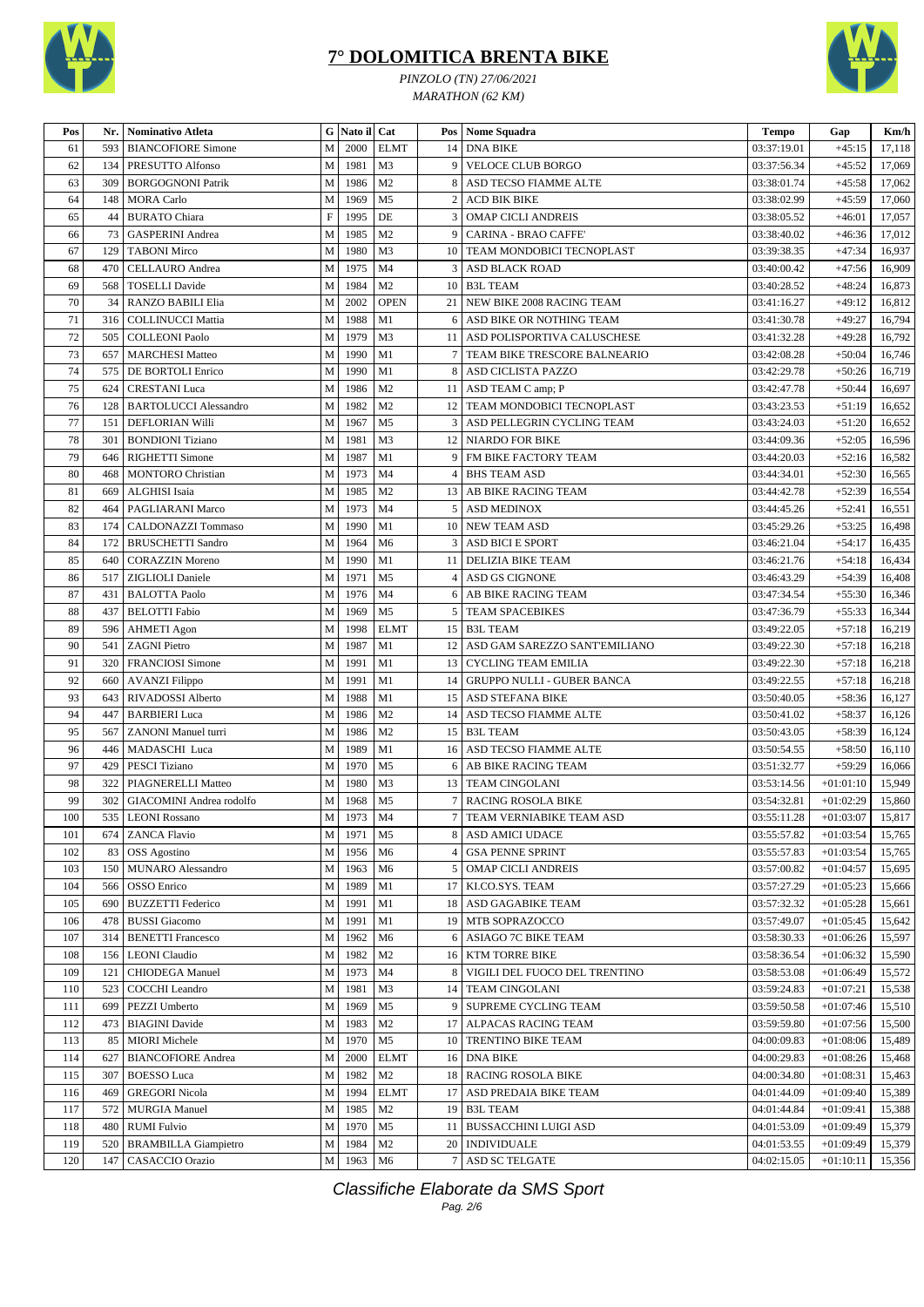



*PINZOLO (TN) 27/06/2021 MARATHON (62 KM)*

| Pos | Nr. | <b>Nominativo Atleta</b>        |              | G Nato il Cat |                |                 | Pos   Nome Squadra                | <b>Tempo</b> | Gap         | Km/h   |
|-----|-----|---------------------------------|--------------|---------------|----------------|-----------------|-----------------------------------|--------------|-------------|--------|
| 61  | 593 | <b>BIANCOFIORE Simone</b>       | M            | 2000          | <b>ELMT</b>    | 14              | <b>DNA BIKE</b>                   | 03:37:19.01  | $+45:15$    | 17,118 |
| 62  | 134 | PRESUTTO Alfonso                | ${\bf M}$    | 1981          | M <sub>3</sub> | 9               | <b>VELOCE CLUB BORGO</b>          | 03:37:56.34  | $+45:52$    | 17,069 |
| 63  | 309 | <b>BORGOGNONI Patrik</b>        | M            | 1986          | M <sub>2</sub> | 8               | ASD TECSO FIAMME ALTE             | 03:38:01.74  | $+45:58$    | 17,062 |
| 64  | 148 | <b>MORA Carlo</b>               | $\mathbf M$  | 1969          | M <sub>5</sub> | 2               | <b>ACD BIK BIKE</b>               | 03:38:02.99  | $+45:59$    | 17,060 |
| 65  | 44  | <b>BURATO Chiara</b>            | $\mathbf F$  | 1995          | DE             | 3               | <b>OMAP CICLI ANDREIS</b>         | 03:38:05.52  | $+46:01$    | 17,057 |
| 66  | 73  | <b>GASPERINI</b> Andrea         | M            | 1985          | M <sub>2</sub> | 9               | <b>CARINA - BRAO CAFFE'</b>       | 03:38:40.02  | $+46:36$    | 17,012 |
| 67  | 129 | <b>TABONI Mirco</b>             | M            | 1980          | M <sub>3</sub> | 10              | TEAM MONDOBICI TECNOPLAST         | 03:39:38.35  | $+47:34$    | 16,937 |
| 68  | 470 | <b>CELLAURO</b> Andrea          | $\mathbf M$  | 1975          | M <sub>4</sub> | 3               | <b>ASD BLACK ROAD</b>             | 03:40:00.42  | $+47:56$    | 16,909 |
| 69  | 568 | <b>TOSELLI Davide</b>           | M            | 1984          | M <sub>2</sub> | 10              | <b>B3L TEAM</b>                   | 03:40:28.52  | $+48:24$    | 16,873 |
| 70  | 34  | RANZO BABILI Elia               | M            | 2002          | <b>OPEN</b>    | 21              | NEW BIKE 2008 RACING TEAM         | 03:41:16.27  | $+49:12$    | 16,812 |
| 71  | 316 | <b>COLLINUCCI Mattia</b>        | M            | 1988          | M1             | 6               | ASD BIKE OR NOTHING TEAM          | 03:41:30.78  | $+49:27$    | 16,794 |
| 72  | 505 | <b>COLLEONI Paolo</b>           | M            | 1979          | M3             |                 | 11 ASD POLISPORTIVA CALUSCHESE    | 03:41:32.28  | $+49:28$    | 16,792 |
| 73  | 657 | <b>MARCHESI Matteo</b>          | $\mathbf M$  | 1990          | M1             | $\overline{7}$  | TEAM BIKE TRESCORE BALNEARIO      | 03:42:08.28  | $+50:04$    | 16,746 |
| 74  | 575 | DE BORTOLI Enrico               | $\mathbf M$  | 1990          | M1             | 8               | ASD CICLISTA PAZZO                | 03:42:29.78  | $+50:26$    | 16,719 |
| 75  | 624 | <b>CRESTANI</b> Luca            | M            | 1986          | M <sub>2</sub> |                 | 11 ASD TEAM C amp; P              | 03:42:47.78  | $+50:44$    | 16,697 |
| 76  | 128 | <b>BARTOLUCCI Alessandro</b>    | $\mathbf{M}$ | 1982          | M <sub>2</sub> | 12              | TEAM MONDOBICI TECNOPLAST         | 03:43:23.53  | $+51:19$    | 16,652 |
| 77  | 151 | DEFLORIAN Willi                 | M            | 1967          | M <sub>5</sub> | 3               | ASD PELLEGRIN CYCLING TEAM        | 03:43:24.03  | $+51:20$    | 16,652 |
| 78  | 301 | <b>BONDIONI Tiziano</b>         | M            | 1981          | M <sub>3</sub> | 12              | <b>NIARDO FOR BIKE</b>            | 03:44:09.36  | $+52:05$    | 16,596 |
| 79  | 646 | RIGHETTI Simone                 | ${\bf M}$    | 1987          | M1             | 9               | FM BIKE FACTORY TEAM              | 03:44:20.03  | $+52:16$    | 16,582 |
| 80  | 468 | <b>MONTORO</b> Christian        | M            | 1973          | M <sub>4</sub> | 4               | <b>BHS TEAM ASD</b>               | 03:44:34.01  | $+52:30$    | 16,565 |
| 81  | 669 | <b>ALGHISI</b> Isaia            | M            | 1985          | M <sub>2</sub> | 13              | AB BIKE RACING TEAM               | 03:44:42.78  | $+52:39$    | 16,554 |
| 82  | 464 | PAGLIARANI Marco                | M            | 1973          | M <sub>4</sub> | 5               | <b>ASD MEDINOX</b>                | 03:44:45.26  | $+52:41$    | 16,551 |
| 83  | 174 |                                 | $\mathbf M$  | 1990          | M1             | 10              |                                   |              | $+53:25$    |        |
| 84  |     | CALDONAZZI Tommaso              |              |               |                |                 | <b>NEW TEAM ASD</b>               | 03:45:29.26  |             | 16,498 |
|     | 172 | <b>BRUSCHETTI Sandro</b>        | $\mathbf M$  | 1964          | M6             | 3               | <b>ASD BICI E SPORT</b>           | 03:46:21.04  | $+54:17$    | 16,435 |
| 85  | 640 | <b>CORAZZIN Moreno</b>          | M            | 1990          | M1             | 11              | DELIZIA BIKE TEAM                 | 03:46:21.76  | $+54:18$    | 16,434 |
| 86  | 517 | ZIGLIOLI Daniele                | ${\bf M}$    | 1971          | M <sub>5</sub> | $\vert 4 \vert$ | <b>ASD GS CIGNONE</b>             | 03:46:43.29  | $+54:39$    | 16,408 |
| 87  | 431 | <b>BALOTTA Paolo</b>            | ${\bf M}$    | 1976          | M <sub>4</sub> | 6               | AB BIKE RACING TEAM               | 03:47:34.54  | $+55:30$    | 16,346 |
| 88  | 437 | <b>BELOTTI</b> Fabio            | M            | 1969          | M <sub>5</sub> | 5               | <b>TEAM SPACEBIKES</b>            | 03:47:36.79  | $+55:33$    | 16,344 |
| 89  | 596 | <b>AHMETI Agon</b>              | M            | 1998          | <b>ELMT</b>    |                 | 15 B3L TEAM                       | 03:49:22.05  | $+57:18$    | 16,219 |
| 90  | 541 | <b>ZAGNI</b> Pietro             | M            | 1987          | M1             | 12              | ASD GAM SAREZZO SANT'EMILIANO     | 03:49:22.30  | $+57:18$    | 16,218 |
| 91  | 320 | <b>FRANCIOSI Simone</b>         | M            | 1991          | M1             | 13              | <b>CYCLING TEAM EMILIA</b>        | 03:49:22.30  | $+57:18$    | 16,218 |
| 92  | 660 | <b>AVANZI Filippo</b>           | $\mathbf M$  | 1991          | M1             | 14              | <b>GRUPPO NULLI - GUBER BANCA</b> | 03:49:22.55  | $+57:18$    | 16,218 |
| 93  | 643 | RIVADOSSI Alberto               | $\mathbf M$  | 1988          | M1             | 15              | ASD STEFANA BIKE                  | 03:50:40.05  | $+58:36$    | 16,127 |
| 94  | 447 | <b>BARBIERI</b> Luca            | M            | 1986          | M <sub>2</sub> | 14              | ASD TECSO FIAMME ALTE             | 03:50:41.02  | $+58:37$    | 16,126 |
| 95  | 567 | <b>ZANONI</b> Manuel turri      | M            | 1986          | M <sub>2</sub> | 15              | <b>B3L TEAM</b>                   | 03:50:43.05  | $+58:39$    | 16,124 |
| 96  | 446 | MADASCHI Luca                   | M            | 1989          | M1             |                 | 16   ASD TECSO FIAMME ALTE        | 03:50:54.55  | $+58:50$    | 16,110 |
| 97  | 429 | <b>PESCI</b> Tiziano            | M            | 1970          | M <sub>5</sub> | 6               | AB BIKE RACING TEAM               | 03:51:32.77  | $+59:29$    | 16,066 |
| 98  | 322 | PIAGNERELLI Matteo              | M            | 1980          | M <sub>3</sub> | 13              | <b>TEAM CINGOLANI</b>             | 03:53:14.56  | $+01:01:10$ | 15,949 |
| 99  | 302 | <b>GIACOMINI</b> Andrea rodolfo | M            | 1968          | M <sub>5</sub> | $\tau$          | <b>RACING ROSOLA BIKE</b>         | 03:54:32.81  | $+01:02:29$ | 15,860 |
| 100 | 535 | <b>LEONI Rossano</b>            | $\mathbf M$  | 1973          | M4             |                 | 7 TEAM VERNIABIKE TEAM ASD        | 03:55:11.28  | $+01:03:07$ | 15,817 |
| 101 |     | 674   ZANCA Flavio              | M            | 1971          | M5             | 8               | <b>ASD AMICI UDACE</b>            | 03:55:57.82  | $+01:03:54$ | 15,765 |
| 102 | 83  | OSS Agostino                    | M            | 1956          | M <sub>6</sub> | 4               | <b>GSA PENNE SPRINT</b>           | 03:55:57.83  | $+01:03:54$ | 15,765 |
| 103 | 150 | <b>MUNARO</b> Alessandro        | M            | 1963          | M <sub>6</sub> | 5 <sup>1</sup>  | <b>OMAP CICLI ANDREIS</b>         | 03:57:00.82  | $+01:04:57$ | 15,695 |
| 104 | 566 | <b>OSSO Enrico</b>              | M            | 1989          | M1             |                 | 17 KI.CO.SYS. TEAM                | 03:57:27.29  | $+01:05:23$ | 15,666 |
| 105 | 690 | <b>BUZZETTI Federico</b>        | $\mathbf M$  | 1991          | M1             |                 | 18 ASD GAGABIKE TEAM              | 03:57:32.32  | $+01:05:28$ | 15,661 |
| 106 | 478 | <b>BUSSI</b> Giacomo            | M            | 1991          | M1             | 19              | MTB SOPRAZOCCO                    | 03:57:49.07  | $+01:05:45$ | 15,642 |
| 107 | 314 | <b>BENETTI Francesco</b>        | M            | 1962          | M <sub>6</sub> | 6               | ASIAGO 7C BIKE TEAM               | 03:58:30.33  | $+01:06:26$ | 15,597 |
| 108 | 156 | <b>LEONI</b> Claudio            | $\mathbf M$  | 1982          | M <sub>2</sub> |                 | 16   KTM TORRE BIKE               | 03:58:36.54  | $+01:06:32$ | 15,590 |
| 109 | 121 | CHIODEGA Manuel                 | M            | 1973          | M4             |                 | 8 VIGILI DEL FUOCO DEL TRENTINO   | 03:58:53.08  | $+01:06:49$ | 15,572 |
| 110 | 523 | COCCHI Leandro                  | M            | 1981          | M <sub>3</sub> |                 | 14 TEAM CINGOLANI                 | 03:59:24.83  | $+01:07:21$ | 15,538 |
| 111 | 699 | PEZZI Umberto                   | M            | 1969          | M <sub>5</sub> |                 | 9 SUPREME CYCLING TEAM            | 03:59:50.58  | $+01:07:46$ | 15,510 |
| 112 | 473 | <b>BIAGINI</b> Davide           | M            | 1983          | M <sub>2</sub> |                 | 17 ALPACAS RACING TEAM            | 03:59:59.80  | $+01:07:56$ | 15,500 |
| 113 | 85  | <b>MIORI</b> Michele            | $\mathbf M$  | 1970          | M <sub>5</sub> |                 | 10 TRENTINO BIKE TEAM             | 04:00:09.83  | $+01:08:06$ | 15,489 |
| 114 | 627 | <b>BIANCOFIORE Andrea</b>       | $\mathbf M$  | 2000          | <b>ELMT</b>    |                 | 16 DNA BIKE                       | 04:00:29.83  | $+01:08:26$ | 15,468 |
| 115 | 307 | <b>BOESSO</b> Luca              | M            | 1982          | M <sub>2</sub> |                 | 18 RACING ROSOLA BIKE             | 04:00:34.80  | $+01:08:31$ | 15,463 |
| 116 | 469 | <b>GREGORI Nicola</b>           | M            | 1994          | <b>ELMT</b>    |                 | 17 ASD PREDAIA BIKE TEAM          | 04:01:44.09  | $+01:09:40$ | 15,389 |
| 117 | 572 | <b>MURGIA</b> Manuel            | M            | 1985          | M <sub>2</sub> |                 | 19 B3L TEAM                       | 04:01:44.84  | $+01:09:41$ | 15,388 |
| 118 | 480 | <b>RUMI Fulvio</b>              | M            | 1970          | M <sub>5</sub> |                 | 11 BUSSACCHINI LUIGI ASD          | 04:01:53.09  | $+01:09:49$ | 15,379 |
| 119 | 520 | <b>BRAMBILLA</b> Giampietro     | M            | 1984          | M <sub>2</sub> |                 | 20 INDIVIDUALE                    | 04:01:53.55  | $+01:09:49$ | 15,379 |
| 120 | 147 | CASACCIO Orazio                 |              | M 1963        | M <sub>6</sub> | $7\overline{ }$ | ASD SC TELGATE                    | 04:02:15.05  | $+01:10:11$ | 15,356 |
|     |     |                                 |              |               |                |                 |                                   |              |             |        |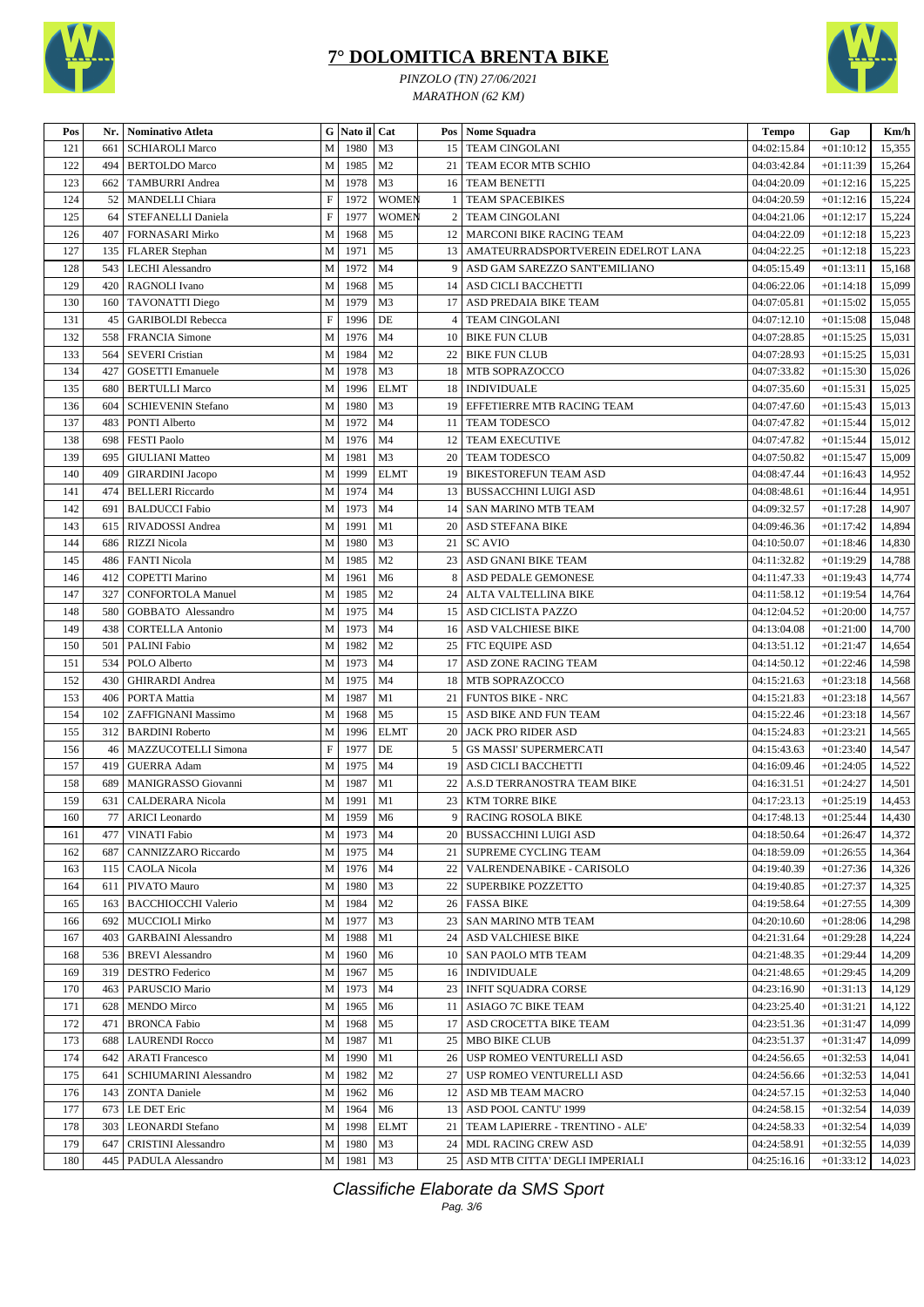



*PINZOLO (TN) 27/06/2021 MARATHON (62 KM)*

| Pos     | Nr. | Nominativo Atleta             |                           | G Nato il Cat |                |                | Pos   Nome Squadra                      | Tempo                    | Gap         | Km/h   |
|---------|-----|-------------------------------|---------------------------|---------------|----------------|----------------|-----------------------------------------|--------------------------|-------------|--------|
| 121     | 661 | <b>SCHIAROLI Marco</b>        | M                         | 1980          | M <sub>3</sub> |                | 15   TEAM CINGOLANI                     | 04:02:15.84              | $+01:10:12$ | 15,355 |
| 122     | 494 | <b>BERTOLDO</b> Marco         | M                         | 1985          | M <sub>2</sub> | 21             | TEAM ECOR MTB SCHIO                     | 04:03:42.84              | $+01:11:39$ | 15,264 |
| 123     | 662 | <b>TAMBURRI</b> Andrea        | $\mathbf M$               | 1978          | M <sub>3</sub> |                | 16 TEAM BENETTI                         | 04:04:20.09              | $+01:12:16$ | 15,225 |
| 124     | 52  | MANDELLI Chiara               | $\boldsymbol{\mathrm{F}}$ | 1972          | <b>WOMEN</b>   |                | <b>TEAM SPACEBIKES</b>                  | 04:04:20.59              | $+01:12:16$ | 15,224 |
| 125     | 64  | STEFANELLI Daniela            | $\mathbf F$               | 1977          | <b>WOMEN</b>   | $\overline{c}$ | <b>TEAM CINGOLANI</b>                   | 04:04:21.06              | $+01:12:17$ | 15,224 |
| 126     | 407 | <b>FORNASARI Mirko</b>        | M                         | 1968          | M <sub>5</sub> |                | 12 MARCONI BIKE RACING TEAM             | 04:04:22.09              | $+01:12:18$ | 15,223 |
| 127     | 135 | <b>FLARER</b> Stephan         | M                         | 1971          | M <sub>5</sub> |                | 13   AMATEURRADSPORTVEREIN EDELROT LANA | 04:04:22.25              | $+01:12:18$ | 15,223 |
| 128     | 543 | LECHI Alessandro              | M                         | 1972          | M <sub>4</sub> | 9              | ASD GAM SAREZZO SANT'EMILIANO           | 04:05:15.49              | $+01:13:11$ | 15,168 |
| 129     | 420 | RAGNOLI Ivano                 | $\mathbf M$               | 1968          | M <sub>5</sub> |                | 14 ASD CICLI BACCHETTI                  | 04:06:22.06              | $+01:14:18$ | 15,099 |
| 130     | 160 | <b>TAVONATTI Diego</b>        | M                         | 1979          | M <sub>3</sub> | 17             | ASD PREDAIA BIKE TEAM                   | 04:07:05.81              | $+01:15:02$ | 15,055 |
| 131     | 45  | <b>GARIBOLDI</b> Rebecca      | $\boldsymbol{\mathrm{F}}$ | 1996          | DE             | 4              | <b>TEAM CINGOLANI</b>                   | 04:07:12.10              | $+01:15:08$ | 15,048 |
| 132     | 558 | <b>FRANCIA</b> Simone         | M                         | 1976          | M <sub>4</sub> | 10             | <b>BIKE FUN CLUB</b>                    | 04:07:28.85              | $+01:15:25$ | 15,031 |
| 133     | 564 | <b>SEVERI</b> Cristian        | М                         | 1984          | M <sub>2</sub> | 22             | <b>BIKE FUN CLUB</b>                    | 04:07:28.93              | $+01:15:25$ | 15,031 |
| 134     | 427 | <b>GOSETTI</b> Emanuele       | M                         | 1978          | M <sub>3</sub> |                | 18 MTB SOPRAZOCCO                       | 04:07:33.82              | $+01:15:30$ | 15,026 |
| 135     | 680 | <b>BERTULLI Marco</b>         | $\mathbf M$               | 1996          | <b>ELMT</b>    | 18             | <b>INDIVIDUALE</b>                      | 04:07:35.60              | $+01:15:31$ | 15,025 |
| 136     | 604 | <b>SCHIEVENIN Stefano</b>     | $\mathbf M$               | 1980          | M <sub>3</sub> |                | 19 EFFETIERRE MTB RACING TEAM           | 04:07:47.60              | $+01:15:43$ | 15,013 |
| 137     | 483 | PONTI Alberto                 | M                         | 1972          | M <sub>4</sub> |                | 11   TEAM TODESCO                       | 04:07:47.82              | $+01:15:44$ | 15,012 |
| 138     | 698 | <b>FESTI Paolo</b>            | $\mathbf M$               | 1976          | M <sub>4</sub> |                | 12 TEAM EXECUTIVE                       | 04:07:47.82              | $+01:15:44$ | 15,012 |
| 139     | 695 | <b>GIULIANI</b> Matteo        | М                         | 1981          | M <sub>3</sub> | 20             | <b>TEAM TODESCO</b>                     | 04:07:50.82              | $+01:15:47$ | 15,009 |
| 140     | 409 | <b>GIRARDINI</b> Jacopo       | M                         | 1999          | <b>ELMT</b>    | 19             | <b>BIKESTOREFUN TEAM ASD</b>            | 04:08:47.44              | $+01:16:43$ | 14,952 |
| 141     | 474 | <b>BELLERI</b> Riccardo       | M                         | 1974          | M <sub>4</sub> |                | 13 BUSSACCHINI LUIGI ASD                | 04:08:48.61              | $+01:16:44$ | 14,951 |
| 142     | 691 | <b>BALDUCCI Fabio</b>         | $\mathbf M$               | 1973          | M <sub>4</sub> |                | 14   SAN MARINO MTB TEAM                | 04:09:32.57              | $+01:17:28$ | 14,907 |
| 143     | 615 | <b>RIVADOSSI</b> Andrea       | M                         | 1991          | M1             | 20             | ASD STEFANA BIKE                        | 04:09:46.36              | $+01:17:42$ | 14,894 |
| 144     | 686 | <b>RIZZI Nicola</b>           | $\mathbf M$               | 1980          | M <sub>3</sub> |                | 21 SC AVIO                              | 04:10:50.07              | $+01:18:46$ | 14,830 |
| 145     | 486 | <b>FANTI Nicola</b>           | M                         | 1985          | M <sub>2</sub> | 23             | <b>ASD GNANI BIKE TEAM</b>              | 04:11:32.82              | $+01:19:29$ | 14,788 |
| 146     | 412 | <b>COPETTI Marino</b>         | M                         | 1961          | M <sub>6</sub> |                | 8 ASD PEDALE GEMONESE                   | 04:11:47.33              | $+01:19:43$ | 14,774 |
| 147     | 327 | <b>CONFORTOLA Manuel</b>      | M                         | 1985          | M <sub>2</sub> |                | 24   ALTA VALTELLINA BIKE               | 04:11:58.12              | $+01:19:54$ | 14,764 |
| 148     | 580 | GOBBATO Alessandro            | $\mathbf M$               | 1975          | M <sub>4</sub> |                | 15   ASD CICLISTA PAZZO                 | 04:12:04.52              | $+01:20:00$ | 14,757 |
| 149     | 438 | <b>CORTELLA Antonio</b>       | M                         | 1973          | M <sub>4</sub> |                | 16 ASD VALCHIESE BIKE                   | 04:13:04.08              | $+01:21:00$ | 14,700 |
| 150     | 501 | PALINI Fabio                  | M                         | 1982          | M <sub>2</sub> |                | 25   FTC EQUIPE ASD                     | 04:13:51.12              | $+01:21:47$ | 14,654 |
| 151     | 534 | POLO Alberto                  | M                         | 1973          | M <sub>4</sub> |                | 17 ASD ZONE RACING TEAM                 | 04:14:50.12              | $+01:22:46$ | 14,598 |
| 152     | 430 | <b>GHIRARDI</b> Andrea        | М                         | 1975          | M <sub>4</sub> |                | 18 MTB SOPRAZOCCO                       | 04:15:21.63              | $+01:23:18$ | 14,568 |
| 153     | 406 | PORTA Mattia                  | M                         | 1987          | M1             | 21             | <b>FUNTOS BIKE - NRC</b>                | 04:15:21.83              | $+01:23:18$ | 14,567 |
| 154     | 102 | ZAFFIGNANI Massimo            | $\mathbf M$               | 1968          | M <sub>5</sub> |                | 15 ASD BIKE AND FUN TEAM                | 04:15:22.46              | $+01:23:18$ | 14,567 |
| 155     | 312 | <b>BARDINI Roberto</b>        | $\mathbf M$               | 1996          | <b>ELMT</b>    | 20             | JACK PRO RIDER ASD                      | 04:15:24.83              | $+01:23:21$ | 14,565 |
| 156     | 46  | MAZZUCOTELLI Simona           | $\boldsymbol{\mathrm{F}}$ | 1977          | DE             | 5              | <b>GS MASSI' SUPERMERCATI</b>           | 04:15:43.63              | $+01:23:40$ | 14,547 |
| 157     | 419 | <b>GUERRA</b> Adam            | M                         | 1975          | M <sub>4</sub> | 19             | ASD CICLI BACCHETTI                     | 04:16:09.46              | $+01:24:05$ | 14,522 |
| 158     | 689 | MANIGRASSO Giovanni           | M                         | 1987          | M1             | 22             | A.S.D TERRANOSTRA TEAM BIKE             | 04:16:31.51              | $+01:24:27$ | 14,501 |
| 159     | 631 | <b>CALDERARA Nicola</b>       | M                         | 1991          | M1             |                | 23   KTM TORRE BIKE                     | 04:17:23.13              | $+01:25:19$ | 14,453 |
| $160\,$ |     | 77 ARICI Leonardo             | $\mathbf M$               | 1959 M6       |                |                | 9 RACING ROSOLA BIKE                    | $\overline{04:}17:48.13$ | $+01:25:44$ | 14,430 |
| 161     | 477 | VINATI Fabio                  | M                         | 1973          | M4             |                | 20 BUSSACCHINI LUIGI ASD                | 04:18:50.64              | $+01:26:47$ | 14,372 |
| 162     | 687 | <b>CANNIZZARO</b> Riccardo    | M                         | 1975          | M4             |                | 21   SUPREME CYCLING TEAM               | 04:18:59.09              | $+01:26:55$ | 14,364 |
| 163     | 115 | CAOLA Nicola                  | M                         | 1976          | M4             |                | 22   VALRENDENABIKE - CARISOLO          | 04:19:40.39              | $+01:27:36$ | 14,326 |
| 164     | 611 | PIVATO Mauro                  | M                         | 1980          | M3             |                | 22   SUPERBIKE POZZETTO                 | 04:19:40.85              | $+01:27:37$ | 14,325 |
| 165     | 163 | BACCHIOCCHI Valerio           | M                         | 1984          | M <sub>2</sub> |                | 26 FASSA BIKE                           | 04:19:58.64              | $+01:27:55$ | 14,309 |
| 166     | 692 | <b>MUCCIOLI Mirko</b>         | M                         | 1977          | M3             |                | 23   SAN MARINO MTB TEAM                | 04:20:10.60              | $+01:28:06$ | 14,298 |
| 167     | 403 | <b>GARBAINI</b> Alessandro    | M                         | 1988          | M1             |                | 24 ASD VALCHIESE BIKE                   | 04:21:31.64              | $+01:29:28$ | 14,224 |
| 168     | 536 | <b>BREVI</b> Alessandro       | M                         | 1960          | M6             |                | 10 SAN PAOLO MTB TEAM                   | 04:21:48.35              | $+01:29:44$ | 14,209 |
| 169     | 319 | <b>DESTRO Federico</b>        | М                         | 1967          | M5             |                | 16   INDIVIDUALE                        | 04:21:48.65              | $+01:29:45$ | 14,209 |
| 170     | 463 | PARUSCIO Mario                | M                         | 1973          | M4             |                | 23   INFIT SQUADRA CORSE                | 04:23:16.90              | $+01:31:13$ | 14,129 |
| 171     | 628 | <b>MENDO Mirco</b>            | M                         | 1965          | M6             |                | 11 ASIAGO 7C BIKE TEAM                  | 04:23:25.40              | $+01:31:21$ | 14,122 |
| 172     | 471 | <b>BRONCA Fabio</b>           | М                         | 1968          | M5             |                | 17 ASD CROCETTA BIKE TEAM               | 04:23:51.36              | $+01:31:47$ | 14,099 |
| 173     | 688 | <b>LAURENDI Rocco</b>         | M                         | 1987          | M1             |                | 25   MBO BIKE CLUB                      | 04:23:51.37              | $+01:31:47$ | 14,099 |
| 174     | 642 | <b>ARATI Francesco</b>        | M                         | 1990          | M1             |                | 26   USP ROMEO VENTURELLI ASD           | 04:24:56.65              | $+01:32:53$ | 14,041 |
| 175     | 641 | <b>SCHIUMARINI Alessandro</b> | М                         | 1982          | M <sub>2</sub> |                | 27   USP ROMEO VENTURELLI ASD           | 04:24:56.66              | $+01:32:53$ | 14,041 |
| 176     | 143 | <b>ZONTA Daniele</b>          | M                         | 1962          | M <sub>6</sub> |                | 12 ASD MB TEAM MACRO                    | 04:24:57.15              | $+01:32:53$ | 14,040 |
| 177     | 673 | LE DET Eric                   | M                         | 1964          | M6             |                | 13 ASD POOL CANTU' 1999                 | 04:24:58.15              | $+01:32:54$ | 14,039 |
| 178     | 303 | <b>LEONARDI</b> Stefano       | M                         | 1998          | <b>ELMT</b>    |                | 21   TEAM LAPIERRE - TRENTINO - ALE'    | 04:24:58.33              | $+01:32:54$ | 14,039 |
| 179     | 647 | <b>CRISTINI</b> Alessandro    |                           | M 1980        | M <sub>3</sub> |                | 24 MDL RACING CREW ASD                  | 04:24:58.91              | $+01:32:55$ | 14,039 |
| 180     |     | 445   PADULA Alessandro       |                           | M 1981        | M3             |                | 25 ASD MTB CITTA' DEGLI IMPERIALI       | 04:25:16.16              | $+01:33:12$ | 14,023 |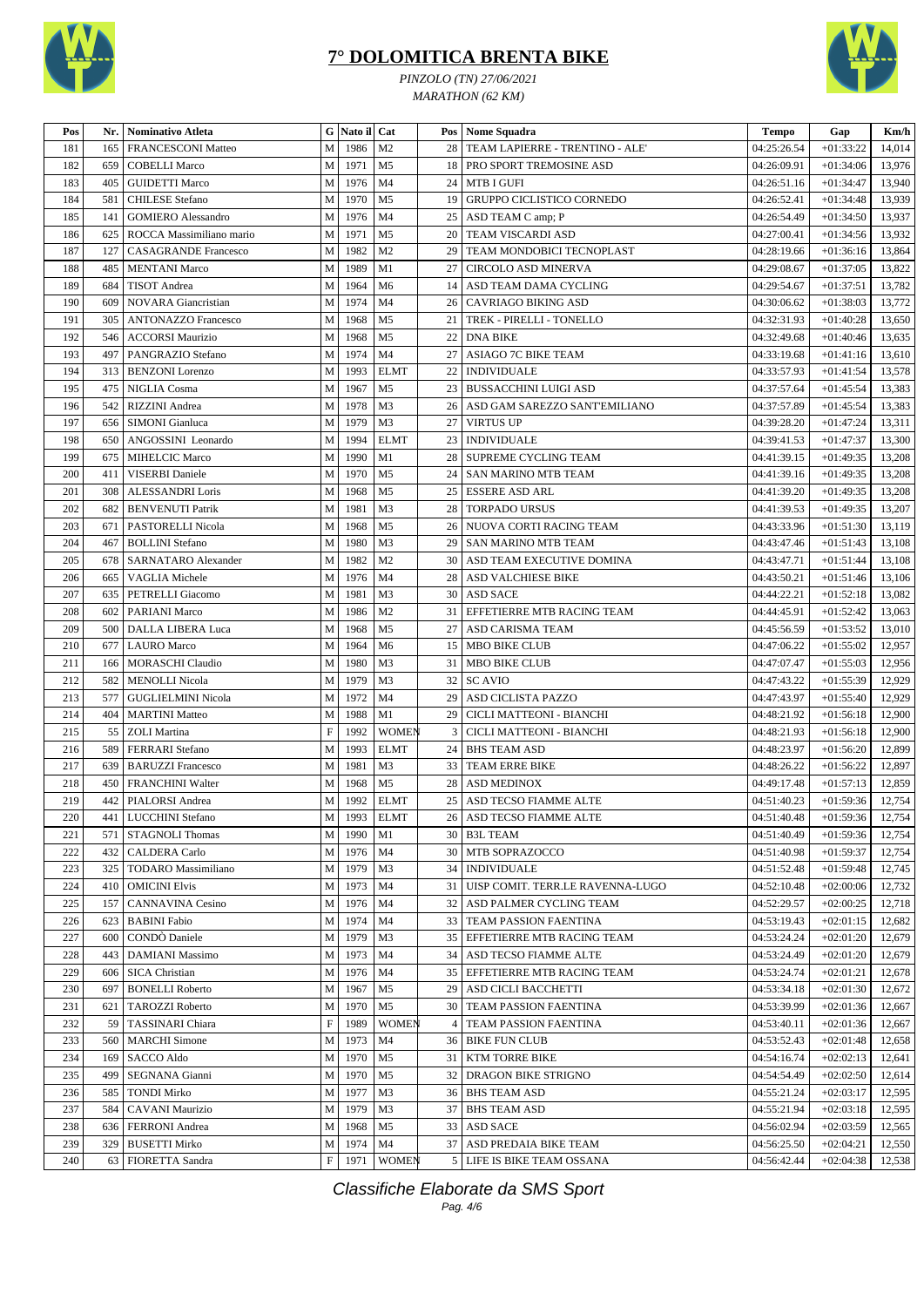



*PINZOLO (TN) 27/06/2021 MARATHON (62 KM)*

| Pos     |     | Nr.   Nominativo Atleta     |              | G Nato il Cat |                |                 | Pos Nome Squadra                     | <b>Tempo</b> | Gap         | Km/h   |
|---------|-----|-----------------------------|--------------|---------------|----------------|-----------------|--------------------------------------|--------------|-------------|--------|
| 181     | 165 | <b>FRANCESCONI Matteo</b>   | M            | 1986          | M <sub>2</sub> |                 | 28   TEAM LAPIERRE - TRENTINO - ALE' | 04:25:26.54  | $+01:33:22$ | 14,014 |
| 182     | 659 | <b>COBELLI Marco</b>        | M            | 1971          | M <sub>5</sub> |                 | 18   PRO SPORT TREMOSINE ASD         | 04:26:09.91  | $+01:34:06$ | 13,976 |
| 183     | 405 | <b>GUIDETTI Marco</b>       | M            | 1976          | M <sub>4</sub> |                 | 24 MTB I GUFI                        | 04:26:51.16  | $+01:34:47$ | 13,940 |
| 184     | 581 | <b>CHILESE</b> Stefano      | M            | 1970          | M <sub>5</sub> |                 | 19 GRUPPO CICLISTICO CORNEDO         | 04:26:52.41  | $+01:34:48$ | 13,939 |
| 185     | 141 | <b>GOMIERO</b> Alessandro   | ${\bf M}$    | 1976          | M <sub>4</sub> |                 | 25   ASD TEAM C amp; P               | 04:26:54.49  | $+01:34:50$ | 13,937 |
| 186     | 625 | ROCCA Massimiliano mario    | M            | 1971          | M <sub>5</sub> | 20 <sub>1</sub> | TEAM VISCARDI ASD                    | 04:27:00.41  | $+01:34:56$ | 13,932 |
| 187     | 127 | <b>CASAGRANDE Francesco</b> | M            | 1982          | M <sub>2</sub> | 29              | TEAM MONDOBICI TECNOPLAST            | 04:28:19.66  | $+01:36:16$ | 13,864 |
| 188     | 485 | <b>MENTANI Marco</b>        | M            | 1989          | M1             |                 | 27   CIRCOLO ASD MINERVA             | 04:29:08.67  | $+01:37:05$ | 13,822 |
| 189     | 684 | <b>TISOT</b> Andrea         | M            | 1964          | M <sub>6</sub> |                 | 14 ASD TEAM DAMA CYCLING             | 04:29:54.67  | $+01:37:51$ | 13,782 |
| 190     | 609 | <b>NOVARA</b> Giancristian  | M            | 1974          | M <sub>4</sub> | 26              | <b>CAVRIAGO BIKING ASD</b>           | 04:30:06.62  | $+01:38:03$ | 13,772 |
| 191     | 305 | <b>ANTONAZZO Francesco</b>  | M            | 1968          | M <sub>5</sub> | 21              | TREK - PIRELLI - TONELLO             | 04:32:31.93  | $+01:40:28$ | 13,650 |
| 192     | 546 | <b>ACCORSI Maurizio</b>     | ${\bf M}$    | 1968          | M <sub>5</sub> | $22 \mid$       | <b>DNA BIKE</b>                      | 04:32:49.68  | $+01:40:46$ | 13,635 |
| 193     | 497 | PANGRAZIO Stefano           | M            | 1974          | M <sub>4</sub> | 27              | ASIAGO 7C BIKE TEAM                  | 04:33:19.68  | $+01:41:16$ | 13,610 |
| 194     | 313 | <b>BENZONI</b> Lorenzo      | M            | 1993          | <b>ELMT</b>    |                 | 22   INDIVIDUALE                     | 04:33:57.93  | $+01:41:54$ | 13,578 |
| 195     | 475 | NIGLIA Cosma                | ${\bf M}$    | 1967          | M <sub>5</sub> |                 | 23 BUSSACCHINI LUIGI ASD             | 04:37:57.64  | $+01:45:54$ | 13,383 |
| 196     | 542 | RIZZINI Andrea              | M            | 1978          | M <sub>3</sub> |                 | 26   ASD GAM SAREZZO SANT'EMILIANO   | 04:37:57.89  | $+01:45:54$ | 13,383 |
| 197     | 656 | <b>SIMONI</b> Gianluca      | M            | 1979          | M <sub>3</sub> |                 | 27 VIRTUS UP                         | 04:39:28.20  | $+01:47:24$ | 13,311 |
| 198     | 650 | ANGOSSINI Leonardo          | ${\bf M}$    | 1994          | <b>ELMT</b>    | 23              | <b>INDIVIDUALE</b>                   | 04:39:41.53  | $+01:47:37$ | 13,300 |
| 199     | 675 | <b>MIHELCIC Marco</b>       | M            | 1990          | M1             |                 | 28 SUPREME CYCLING TEAM              | 04:41:39.15  | $+01:49:35$ | 13,208 |
| 200     | 411 | <b>VISERBI</b> Daniele      | M            | 1970          | M <sub>5</sub> |                 | 24   SAN MARINO MTB TEAM             | 04:41:39.16  | $+01:49:35$ | 13,208 |
| 201     | 308 | <b>ALESSANDRI Loris</b>     | M            | 1968          | M <sub>5</sub> |                 | 25   ESSERE ASD ARL                  | 04:41:39.20  | $+01:49:35$ | 13,208 |
| 202     | 682 | <b>BENVENUTI Patrik</b>     | M            | 1981          | M <sub>3</sub> | 28 l            | <b>TORPADO URSUS</b>                 | 04:41:39.53  | $+01:49:35$ | 13,207 |
| 203     | 671 | PASTORELLI Nicola           | M            | 1968          | M <sub>5</sub> |                 | 26 NUOVA CORTI RACING TEAM           | 04:43:33.96  | $+01:51:30$ | 13,119 |
| 204     | 467 | <b>BOLLINI</b> Stefano      | M            | 1980          | M <sub>3</sub> |                 | 29   SAN MARINO MTB TEAM             | 04:43:47.46  | $+01:51:43$ | 13,108 |
| 205     | 678 | SARNATARO Alexander         | M            | 1982          | M <sub>2</sub> |                 | 30   ASD TEAM EXECUTIVE DOMINA       | 04:43:47.71  | $+01:51:44$ | 13,108 |
| 206     | 665 | <b>VAGLIA Michele</b>       | M            | 1976          | M <sub>4</sub> |                 | 28 ASD VALCHIESE BIKE                | 04:43:50.21  | $+01:51:46$ | 13,106 |
| 207     | 635 | PETRELLI Giacomo            | M            | 1981          | M <sub>3</sub> |                 | 30 ASD SACE                          | 04:44:22.21  | $+01:52:18$ | 13,082 |
| 208     | 602 | <b>PARIANI Marco</b>        | ${\bf M}$    | 1986          | M <sub>2</sub> |                 | 31 EFFETIERRE MTB RACING TEAM        | 04:44:45.91  | $+01:52:42$ | 13,063 |
| 209     | 500 | <b>DALLA LIBERA Luca</b>    | M            | 1968          | M <sub>5</sub> | 27              | <b>ASD CARISMA TEAM</b>              | 04:45:56.59  | $+01:53:52$ | 13,010 |
| 210     | 677 | <b>LAURO</b> Marco          | M            | 1964          | M <sub>6</sub> |                 | 15   MBO BIKE CLUB                   | 04:47:06.22  | $+01:55:02$ | 12,957 |
| 211     | 166 | <b>MORASCHI Claudio</b>     | ${\bf M}$    | 1980          | M <sub>3</sub> | 31              | MBO BIKE CLUB                        | 04:47:07.47  | $+01:55:03$ | 12,956 |
| 212     | 582 | <b>MENOLLI Nicola</b>       | ${\bf M}$    | 1979          | M <sub>3</sub> |                 | 32 SC AVIO                           | 04:47:43.22  | $+01:55:39$ | 12,929 |
| 213     | 577 | <b>GUGLIELMINI Nicola</b>   | M            | 1972          | M <sub>4</sub> |                 | 29 ASD CICLISTA PAZZO                | 04:47:43.97  | $+01:55:40$ | 12,929 |
| 214     | 404 | <b>MARTINI</b> Matteo       | M            | 1988          | M1             | 29              | CICLI MATTEONI - BIANCHI             | 04:48:21.92  | $+01:56:18$ | 12,900 |
| 215     | 55  | <b>ZOLI</b> Martina         | $\mathbf F$  | 1992          | <b>WOMEN</b>   | 3               | CICLI MATTEONI - BIANCHI             | 04:48:21.93  | $+01:56:18$ | 12,900 |
| 216     | 589 | <b>FERRARI</b> Stefano      | M            | 1993          | <b>ELMT</b>    |                 | 24   BHS TEAM ASD                    | 04:48:23.97  | $+01:56:20$ | 12,899 |
| 217     | 639 | <b>BARUZZI Francesco</b>    | ${\bf M}$    | 1981          | M3             | 33              | TEAM ERRE BIKE                       | 04:48:26.22  | $+01:56:22$ | 12,897 |
| 218     | 450 | <b>FRANCHINI Walter</b>     | M            | 1968          | M <sub>5</sub> | 28              | <b>ASD MEDINOX</b>                   | 04:49:17.48  | $+01:57:13$ | 12,859 |
| 219     | 442 | PIALORSI Andrea             | M            | 1992          | <b>ELMT</b>    |                 | 25 ASD TECSO FIAMME ALTE             | 04:51:40.23  | $+01:59:36$ | 12,754 |
| $220\,$ |     | 441 LUCCHINI Stefano        | $\mathbf M$  |               | 1993 ELMT      |                 | 26 ASD TECSO FIAMME ALTE             | 04:51:40.48  | $+01:59:36$ | 12,754 |
| 221     |     | 571   STAGNOLI Thomas       | M            | 1990          | M1             |                 | 30 B3L TEAM                          | 04:51:40.49  | $+01:59:36$ | 12,754 |
| 222     | 432 | <b>CALDERA Carlo</b>        | $\mathbf M$  | 1976          | M4             |                 | 30 MTB SOPRAZOCCO                    | 04:51:40.98  | $+01:59:37$ | 12,754 |
| 223     | 325 | TODARO Massimiliano         | M            | 1979          | M3             |                 | 34 INDIVIDUALE                       | 04:51:52.48  | $+01:59:48$ | 12,745 |
| 224     | 410 | <b>OMICINI Elvis</b>        | M            | 1973          | M4             |                 | 31 UISP COMIT. TERR.LE RAVENNA-LUGO  | 04:52:10.48  | $+02:00:06$ | 12,732 |
| 225     | 157 | CANNAVINA Cesino            | M            | 1976          | M <sub>4</sub> |                 | 32   ASD PALMER CYCLING TEAM         | 04:52:29.57  | $+02:00:25$ | 12,718 |
| 226     | 623 | <b>BABINI Fabio</b>         | M            | 1974          | M4             |                 | 33   TEAM PASSION FAENTINA           | 04:53:19.43  | $+02:01:15$ | 12,682 |
| 227     | 600 | CONDO Daniele               | M            | 1979          | M3             |                 | 35 EFFETIERRE MTB RACING TEAM        | 04:53:24.24  | $+02:01:20$ | 12,679 |
| 228     | 443 | DAMIANI Massimo             | M            | 1973          | M4             |                 | 34   ASD TECSO FIAMME ALTE           | 04:53:24.49  | $+02:01:20$ | 12,679 |
| 229     | 606 | <b>SICA Christian</b>       | M            | 1976          | M4             |                 | 35 EFFETIERRE MTB RACING TEAM        | 04:53:24.74  | $+02:01:21$ | 12,678 |
| 230     | 697 | <b>BONELLI</b> Roberto      | M            | 1967          | M5             |                 | 29 ASD CICLI BACCHETTI               | 04:53:34.18  | $+02:01:30$ | 12,672 |
| 231     | 621 | <b>TAROZZI Roberto</b>      | M            | 1970          | M <sub>5</sub> |                 | <b>30 TEAM PASSION FAENTINA</b>      | 04:53:39.99  | $+02:01:36$ | 12,667 |
| 232     | 59  | <b>TASSINARI Chiara</b>     | $\mathbf{F}$ | 1989          | <b>WOMEN</b>   | 4 I             | TEAM PASSION FAENTINA                | 04:53:40.11  | $+02:01:36$ | 12,667 |
| 233     | 560 | <b>MARCHI</b> Simone        | M            | 1973          | M4             |                 | 36 BIKE FUN CLUB                     | 04:53:52.43  | $+02:01:48$ | 12,658 |
| 234     | 169 | SACCO Aldo                  | M            | 1970          | M5             |                 | 31   KTM TORRE BIKE                  | 04:54:16.74  | $+02:02:13$ | 12,641 |
| 235     | 499 | SEGNANA Gianni              | M            | 1970          | M5             |                 | 32 DRAGON BIKE STRIGNO               | 04:54:54.49  | $+02:02:50$ | 12,614 |
| 236     | 585 | <b>TONDI Mirko</b>          | M            | 1977          | M3             |                 | 36   BHS TEAM ASD                    | 04:55:21.24  | $+02:03:17$ | 12,595 |
| 237     | 584 | <b>CAVANI Maurizio</b>      | M            | 1979          | M3             |                 | 37 BHS TEAM ASD                      | 04:55:21.94  | $+02:03:18$ | 12,595 |
| 238     | 636 | FERRONI Andrea              | M            | 1968          | M <sub>5</sub> |                 | 33 ASD SACE                          | 04:56:02.94  | $+02:03:59$ | 12,565 |
| 239     | 329 | <b>BUSETTI Mirko</b>        | M            | 1974          | M <sub>4</sub> |                 | 37 ASD PREDAIA BIKE TEAM             | 04:56:25.50  | $+02:04:21$ | 12,550 |
| 240     |     | 63   FIORETTA Sandra        | F            | 1971          | WOMEN          |                 | 5 LIFE IS BIKE TEAM OSSANA           | 04:56:42.44  | $+02:04:38$ | 12,538 |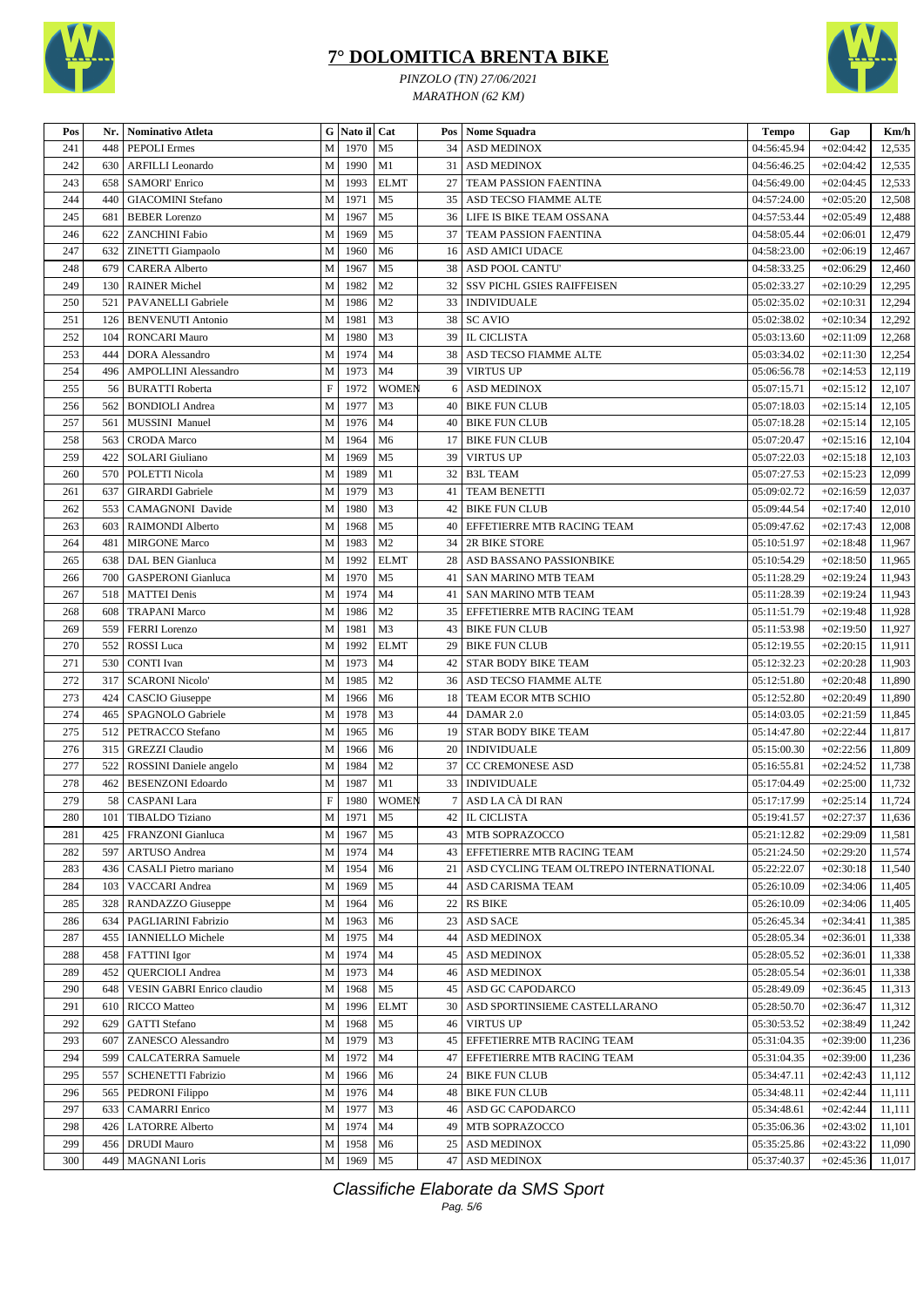



*PINZOLO (TN) 27/06/2021 MARATHON (62 KM)*

| Pos | Nr. | Nominativo Atleta           | G            | Nato il Cat |                | Pos             | Nome Squadra                                | <b>Tempo</b> | Gap         | Km/h   |
|-----|-----|-----------------------------|--------------|-------------|----------------|-----------------|---------------------------------------------|--------------|-------------|--------|
| 241 | 448 | <b>PEPOLI</b> Ermes         | $\mathbf{M}$ | 1970        | M <sub>5</sub> | 34              | <b>ASD MEDINOX</b>                          | 04:56:45.94  | $+02:04:42$ | 12,535 |
| 242 | 630 | <b>ARFILLI</b> Leonardo     | $\mathbf M$  | 1990        | M1             |                 | 31 ASD MEDINOX                              | 04:56:46.25  | $+02:04:42$ | 12,535 |
| 243 | 658 | <b>SAMORI' Enrico</b>       | M            | 1993        | <b>ELMT</b>    | 27 <sup>1</sup> | <b>TEAM PASSION FAENTINA</b>                | 04:56:49.00  | $+02:04:45$ | 12,533 |
| 244 | 440 | <b>GIACOMINI</b> Stefano    | M            | 1971        | M <sub>5</sub> |                 | 35   ASD TECSO FIAMME ALTE                  | 04:57:24.00  | $+02:05:20$ | 12,508 |
| 245 | 681 | <b>BEBER Lorenzo</b>        | M            | 1967        | M <sub>5</sub> |                 | 36   LIFE IS BIKE TEAM OSSANA               | 04:57:53.44  | $+02:05:49$ | 12,488 |
| 246 | 622 | <b>ZANCHINI Fabio</b>       | M            | 1969        | M <sub>5</sub> | 37 <sup>1</sup> | <b>TEAM PASSION FAENTINA</b>                | 04:58:05.44  | $+02:06:01$ | 12,479 |
| 247 | 632 | ZINETTI Giampaolo           | M            | 1960        | M6             |                 | 16 ASD AMICI UDACE                          | 04:58:23.00  | $+02:06:19$ | 12,467 |
| 248 | 679 | <b>CARERA Alberto</b>       | M            | 1967        | M <sub>5</sub> |                 | 38   ASD POOL CANTU'                        | 04:58:33.25  | $+02:06:29$ | 12,460 |
| 249 | 130 | <b>RAINER Michel</b>        | M            | 1982        | M <sub>2</sub> | 32 <sub>1</sub> | <b>SSV PICHL GSIES RAIFFEISEN</b>           | 05:02:33.27  | $+02:10:29$ | 12,295 |
| 250 | 521 | PAVANELLI Gabriele          | M            | 1986        | M <sub>2</sub> |                 | 33   INDIVIDUALE                            | 05:02:35.02  | $+02:10:31$ | 12,294 |
| 251 | 126 | <b>BENVENUTI Antonio</b>    | M            | 1981        | M3             |                 | 38 SC AVIO                                  | 05:02:38.02  | $+02:10:34$ | 12,292 |
| 252 | 104 | <b>RONCARI Mauro</b>        | M            | 1980        | M <sub>3</sub> |                 | 39 IL CICLISTA                              | 05:03:13.60  | $+02:11:09$ | 12,268 |
| 253 | 444 | <b>DORA</b> Alessandro      | M            | 1974        | M <sub>4</sub> |                 | 38   ASD TECSO FIAMME ALTE                  | 05:03:34.02  | $+02:11:30$ | 12,254 |
| 254 | 496 | <b>AMPOLLINI Alessandro</b> | M            | 1973        | M <sub>4</sub> | 39              | <b>VIRTUS UP</b>                            | 05:06:56.78  | $+02:14:53$ | 12,119 |
| 255 | 56  | <b>BURATTI Roberta</b>      | $\mathbf F$  | 1972        | <b>WOMEN</b>   | 6               | <b>ASD MEDINOX</b>                          | 05:07:15.71  | $+02:15:12$ | 12,107 |
| 256 | 562 | <b>BONDIOLI</b> Andrea      | M            | 1977        | M <sub>3</sub> | 40              | <b>BIKE FUN CLUB</b>                        | 05:07:18.03  | $+02:15:14$ | 12,105 |
| 257 | 561 | MUSSINI Manuel              | M            | 1976        | M <sub>4</sub> | 40              | <b>BIKE FUN CLUB</b>                        | 05:07:18.28  | $+02:15:14$ | 12,105 |
| 258 | 563 | <b>CRODA</b> Marco          | M            | 1964        | M6             | 17 <sup>1</sup> | <b>BIKE FUN CLUB</b>                        | 05:07:20.47  | $+02:15:16$ | 12,104 |
| 259 | 422 | <b>SOLARI</b> Giuliano      | M            | 1969        | M <sub>5</sub> | 39              | <b>VIRTUS UP</b>                            | 05:07:22.03  | $+02:15:18$ | 12,103 |
| 260 | 570 | POLETTI Nicola              | M            | 1989        | M1             | 32              | <b>B3L TEAM</b>                             | 05:07:27.53  | $+02:15:23$ | 12,099 |
| 261 | 637 | <b>GIRARDI</b> Gabriele     | M            | 1979        | M <sub>3</sub> | 41              | <b>TEAM BENETTI</b>                         | 05:09:02.72  | $+02:16:59$ | 12,037 |
|     |     |                             |              |             |                |                 |                                             |              |             |        |
| 262 | 553 | CAMAGNONI Davide            | M            | 1980        | M <sub>3</sub> | 42              | <b>BIKE FUN CLUB</b>                        | 05:09:44.54  | $+02:17:40$ | 12,010 |
| 263 | 603 | <b>RAIMONDI Alberto</b>     | M            | 1968        | M <sub>5</sub> | 40              | EFFETIERRE MTB RACING TEAM                  | 05:09:47.62  | $+02:17:43$ | 12,008 |
| 264 | 481 | <b>MIRGONE Marco</b>        | M            | 1983        | M <sub>2</sub> | 34              | 2R BIKE STORE                               | 05:10:51.97  | $+02:18:48$ | 11,967 |
| 265 | 638 | DAL BEN Gianluca            | M            | 1992        | <b>ELMT</b>    | 28              | ASD BASSANO PASSIONBIKE                     | 05:10:54.29  | $+02:18:50$ | 11,965 |
| 266 | 700 | <b>GASPERONI</b> Gianluca   | $\mathbf{M}$ | 1970        | M <sub>5</sub> |                 | 41   SAN MARINO MTB TEAM                    | 05:11:28.29  | $+02:19:24$ | 11,943 |
| 267 | 518 | <b>MATTEI</b> Denis         | M            | 1974        | M4             | 41              | <b>SAN MARINO MTB TEAM</b>                  | 05:11:28.39  | $+02:19:24$ | 11,943 |
| 268 | 608 | <b>TRAPANI Marco</b>        | M            | 1986        | M <sub>2</sub> |                 | 35 EFFETIERRE MTB RACING TEAM               | 05:11:51.79  | $+02:19:48$ | 11,928 |
| 269 | 559 | <b>FERRI</b> Lorenzo        | M            | 1981        | M <sub>3</sub> |                 | 43   BIKE FUN CLUB                          | 05:11:53.98  | $+02:19:50$ | 11,927 |
| 270 | 552 | ROSSI Luca                  | M            | 1992        | <b>ELMT</b>    | 29              | <b>BIKE FUN CLUB</b>                        | 05:12:19.55  | $+02:20:15$ | 11,911 |
| 271 | 530 | <b>CONTI</b> Ivan           | M            | 1973        | M <sub>4</sub> | 42              | <b>STAR BODY BIKE TEAM</b>                  | 05:12:32.23  | $+02:20:28$ | 11,903 |
| 272 | 317 | <b>SCARONI Nicolo'</b>      | M            | 1985        | M <sub>2</sub> | 36              | ASD TECSO FIAMME ALTE                       | 05:12:51.80  | $+02:20:48$ | 11,890 |
| 273 | 424 | CASCIO Giuseppe             | $\mathbf M$  | 1966        | M6             | 18              | TEAM ECOR MTB SCHIO                         | 05:12:52.80  | $+02:20:49$ | 11,890 |
| 274 | 465 | SPAGNOLO Gabriele           | M            | 1978        | M <sub>3</sub> | 44              | DAMAR 2.0                                   | 05:14:03.05  | $+02:21:59$ | 11,845 |
| 275 | 512 | PETRACCO Stefano            | M            | 1965        | M <sub>6</sub> | 19 <sup>1</sup> | <b>STAR BODY BIKE TEAM</b>                  | 05:14:47.80  | $+02:22:44$ | 11,817 |
| 276 | 315 | <b>GREZZI</b> Claudio       | M            | 1966        | M <sub>6</sub> | 20              | <b>INDIVIDUALE</b>                          | 05:15:00.30  | $+02:22:56$ | 11,809 |
| 277 | 522 | ROSSINI Daniele angelo      | M            | 1984        | M <sub>2</sub> |                 | 37 CC CREMONESE ASD                         | 05:16:55.81  | $+02:24:52$ | 11,738 |
| 278 | 462 | <b>BESENZONI Edoardo</b>    | M            | 1987        | M1             |                 | 33   INDIVIDUALE                            | 05:17:04.49  | $+02:25:00$ | 11,732 |
| 279 | 58  | <b>CASPANI</b> Lara         | $\mathbf F$  | 1980        | <b>WOMEN</b>   |                 | 7 ASD LA CÀ DI RAN                          | 05:17:17.99  | $+02:25:14$ | 11,724 |
| 280 | 101 | <b>TIBALDO</b> Tiziano      | $\mathbf{M}$ | 1971        | M <sub>5</sub> |                 | 42 IL CICLISTA                              | 05:19:41.57  | $+02:27:37$ | 11,636 |
| 281 | 425 | FRANZONI Gianluca           | $\mathbf M$  | 1967        | M5             |                 | 43   MTB SOPRAZOCCO                         | 05:21:12.82  | $+02:29:09$ | 11,581 |
| 282 | 597 | ARTUSO Andrea               | M            | 1974        | M4             |                 | 43 EFFETIERRE MTB RACING TEAM               | 05:21:24.50  | $+02:29:20$ | 11,574 |
| 283 | 436 | CASALI Pietro mariano       | M            | 1954        | M <sub>6</sub> |                 | 21   ASD CYCLING TEAM OLTREPO INTERNATIONAL | 05:22:22.07  | $+02:30:18$ | 11,540 |
| 284 | 103 | VACCARI Andrea              | M            | 1969        | M <sub>5</sub> |                 | 44   ASD CARISMA TEAM                       | 05:26:10.09  | $+02:34:06$ | 11,405 |
| 285 | 328 | RANDAZZO Giuseppe           | M            | 1964        | M <sub>6</sub> |                 | 22 RS BIKE                                  | 05:26:10.09  | $+02:34:06$ | 11,405 |
| 286 | 634 | PAGLIARINI Fabrizio         | M            | 1963        | M6             |                 | 23 ASD SACE                                 | 05:26:45.34  | $+02:34:41$ | 11,385 |
| 287 | 455 | <b>IANNIELLO</b> Michele    | M            | 1975        | M4             |                 | 44 ASD MEDINOX                              | 05:28:05.34  | $+02:36:01$ | 11,338 |
| 288 | 458 | <b>FATTINI</b> Igor         | M            | 1974        | M4             |                 | 45 ASD MEDINOX                              | 05:28:05.52  | $+02:36:01$ | 11,338 |
| 289 | 452 | <b>QUERCIOLI Andrea</b>     | M            | 1973        | M4             | 46              | <b>ASD MEDINOX</b>                          | 05:28:05.54  | $+02:36:01$ | 11,338 |
| 290 | 648 | VESIN GABRI Enrico claudio  | M            | 1968        | M <sub>5</sub> |                 | 45 ASD GC CAPODARCO                         | 05:28:49.09  | $+02:36:45$ | 11,313 |
| 291 | 610 | <b>RICCO</b> Matteo         | M            | 1996        | <b>ELMT</b>    |                 | 30   ASD SPORTINSIEME CASTELLARANO          | 05:28:50.70  | $+02:36:47$ | 11,312 |
| 292 | 629 | <b>GATTI</b> Stefano        | M            | 1968        | M <sub>5</sub> |                 | 46 VIRTUS UP                                | 05:30:53.52  | $+02:38:49$ | 11,242 |
| 293 | 607 | ZANESCO Alessandro          | M            | 1979        | M3             |                 | 45   EFFETIERRE MTB RACING TEAM             | 05:31:04.35  | $+02:39:00$ | 11,236 |
| 294 | 599 | CALCATERRA Samuele          | M            | 1972        | M4             |                 | 47 EFFETIERRE MTB RACING TEAM               | 05:31:04.35  | $+02:39:00$ | 11,236 |
| 295 | 557 | <b>SCHENETTI Fabrizio</b>   | M            | 1966        | M <sub>6</sub> |                 | 24   BIKE FUN CLUB                          | 05:34:47.11  | $+02:42:43$ | 11,112 |
| 296 | 565 | PEDRONI Filippo             | M            | 1976        | M4             |                 | 48 BIKE FUN CLUB                            | 05:34:48.11  | $+02:42:44$ | 11,111 |
| 297 | 633 | <b>CAMARRI</b> Enrico       | M            | 1977        | M <sub>3</sub> |                 | 46 ASD GC CAPODARCO                         | 05:34:48.61  | $+02:42:44$ | 11,111 |
| 298 | 426 | <b>LATORRE Alberto</b>      | M            | 1974        | M <sub>4</sub> |                 | 49 MTB SOPRAZOCCO                           | 05:35:06.36  | $+02:43:02$ | 11,101 |
| 299 | 456 | <b>DRUDI</b> Mauro          | M            | 1958        | M6             |                 | 25 ASD MEDINOX                              | 05:35:25.86  | $+02:43:22$ | 11,090 |
| 300 | 449 | <b>MAGNANI</b> Loris        | $\mathbf M$  | 1969        | M <sub>5</sub> |                 | 47 ASD MEDINOX                              | 05:37:40.37  | $+02:45:36$ | 11,017 |